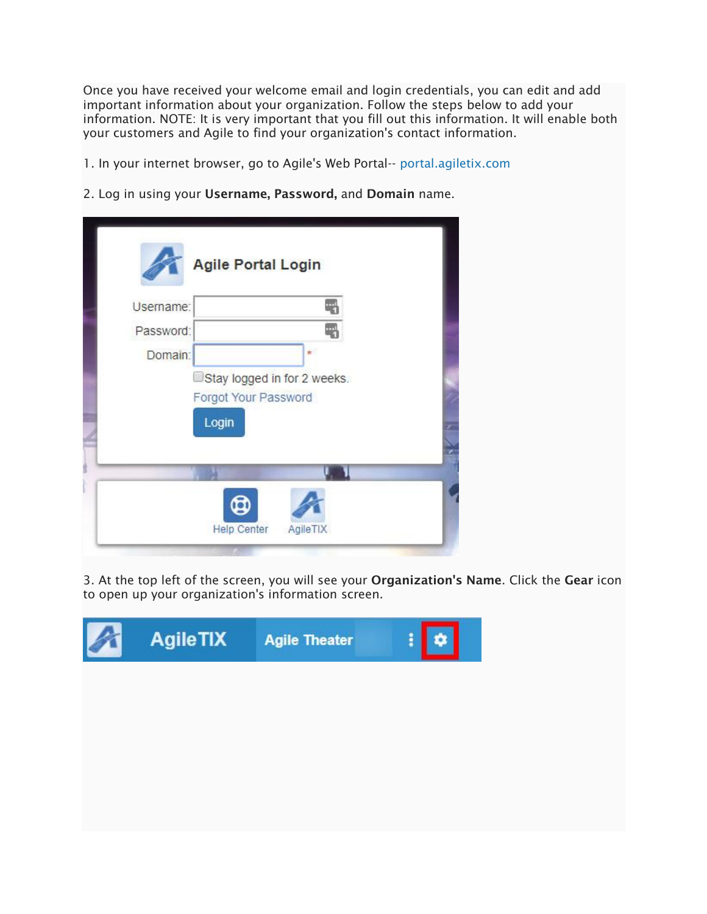Once you have received your welcome email and login credentials, you can edit and add important information about your organization. Follow the steps below to add your information. NOTE: It is very important that you fill out this information. It will enable both your customers and Agile to find your organization's contact information.

1. In your internet browser, go to Agile's Web Portal-- [portal.agiletix.com](https://portal.agiletix.com/)

2. Log in using your Username, Password, and Domain name.

| Username: |                             |
|-----------|-----------------------------|
| Password: |                             |
| Domain:   | $\star$                     |
|           | Stay logged in for 2 weeks. |
|           | Forgot Your Password        |
| Login     |                             |
|           |                             |
|           |                             |
|           |                             |
|           |                             |
|           |                             |

3. At the top left of the screen, you will see your Organization's Name. Click the Gear icon to open up your organization's information screen.

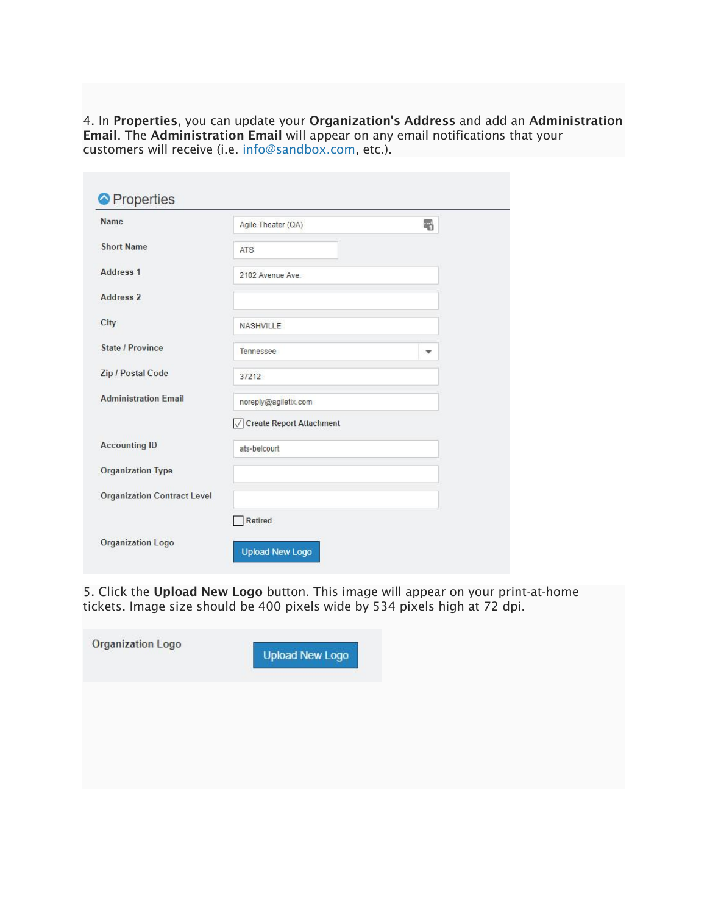4. In Properties, you can update your Organization's Address and add an Administration Email. The Administration Email will appear on any email notifications that your customers will receive (i.e. [info@sandbox.com,](mailto:info@sandbox.com) etc.).

| <b>Name</b>                        | Agile Theater (QA)         | 5                       |
|------------------------------------|----------------------------|-------------------------|
| <b>Short Name</b>                  | <b>ATS</b>                 |                         |
| Address <sub>1</sub>               | 2102 Avenue Ave.           |                         |
| <b>Address 2</b>                   |                            |                         |
| City                               | NASHVILLE                  |                         |
| State / Province                   | Tennessee                  | $\overline{\mathbf{v}}$ |
| Zip / Postal Code                  | 37212                      |                         |
| <b>Administration Email</b>        | noreply@agiletix.com       |                         |
|                                    | √ Create Report Attachment |                         |
| <b>Accounting ID</b>               | ats-belcourt               |                         |
| <b>Organization Type</b>           |                            |                         |
| <b>Organization Contract Level</b> |                            |                         |
|                                    | <b>Retired</b>             |                         |
| <b>Organization Logo</b>           | <b>Upload New Logo</b>     |                         |

5. Click the Upload New Logo button. This image will appear on your print-at-home tickets. Image size should be 400 pixels wide by 534 pixels high at 72 dpi.

| Organization Logo | <b>Upload New Logo</b> |
|-------------------|------------------------|
|                   |                        |
|                   |                        |
|                   |                        |